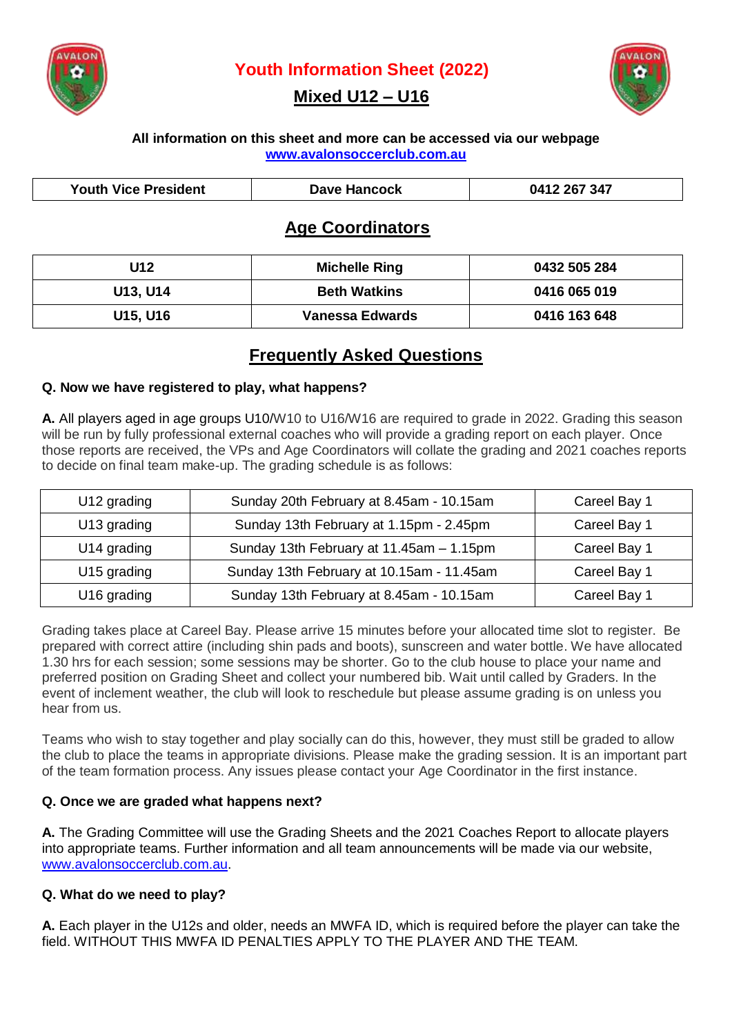

**Youth Information Sheet (2022)**

# **Mixed U12 – U16**



#### **All information on this sheet and more can be accessed via our webpage [www.avalonsoccerclub.com.au](http://www.avalonsoccerclub.com.au/)**

| <b>Youth Vice President</b> | Dave Hancock | 0412 267 347 |
|-----------------------------|--------------|--------------|

# **Age Coordinators**

| U12      | <b>Michelle Ring</b>   | 0432 505 284 |
|----------|------------------------|--------------|
| U13, U14 | <b>Beth Watkins</b>    | 0416 065 019 |
| U15, U16 | <b>Vanessa Edwards</b> | 0416 163 648 |

# **Frequently Asked Questions**

#### **Q. Now we have registered to play, what happens?**

**A.** All players aged in age groups U10/W10 to U16/W16 are required to grade in 2022. Grading this season will be run by fully professional external coaches who will provide a grading report on each player. Once those reports are received, the VPs and Age Coordinators will collate the grading and 2021 coaches reports to decide on final team make-up. The grading schedule is as follows:

| U12 grading | Sunday 20th February at 8.45am - 10.15am  | Careel Bay 1 |
|-------------|-------------------------------------------|--------------|
| U13 grading | Sunday 13th February at 1.15pm - 2.45pm   | Careel Bay 1 |
| U14 grading | Sunday 13th February at 11.45am - 1.15pm  | Careel Bay 1 |
| U15 grading | Sunday 13th February at 10.15am - 11.45am | Careel Bay 1 |
| U16 grading | Sunday 13th February at 8.45am - 10.15am  | Careel Bay 1 |

Grading takes place at Careel Bay. Please arrive 15 minutes before your allocated time slot to register. Be prepared with correct attire (including shin pads and boots), sunscreen and water bottle. We have allocated 1.30 hrs for each session; some sessions may be shorter. Go to the club house to place your name and preferred position on Grading Sheet and collect your numbered bib. Wait until called by Graders. In the event of inclement weather, the club will look to reschedule but please assume grading is on unless you hear from us.

Teams who wish to stay together and play socially can do this, however, they must still be graded to allow the club to place the teams in appropriate divisions. Please make the grading session. It is an important part of the team formation process. Any issues please contact your Age Coordinator in the first instance.

#### **Q. Once we are graded what happens next?**

**A.** The Grading Committee will use the Grading Sheets and the 2021 Coaches Report to allocate players into appropriate teams. Further information and all team announcements will be made via our website, [www.avalonsoccerclub.com.au.](http://www.avalonsoccerclub.com.au/)

## **Q. What do we need to play?**

**A.** Each player in the U12s and older, needs an MWFA ID, which is required before the player can take the field. WITHOUT THIS MWFA ID PENALTIES APPLY TO THE PLAYER AND THE TEAM.